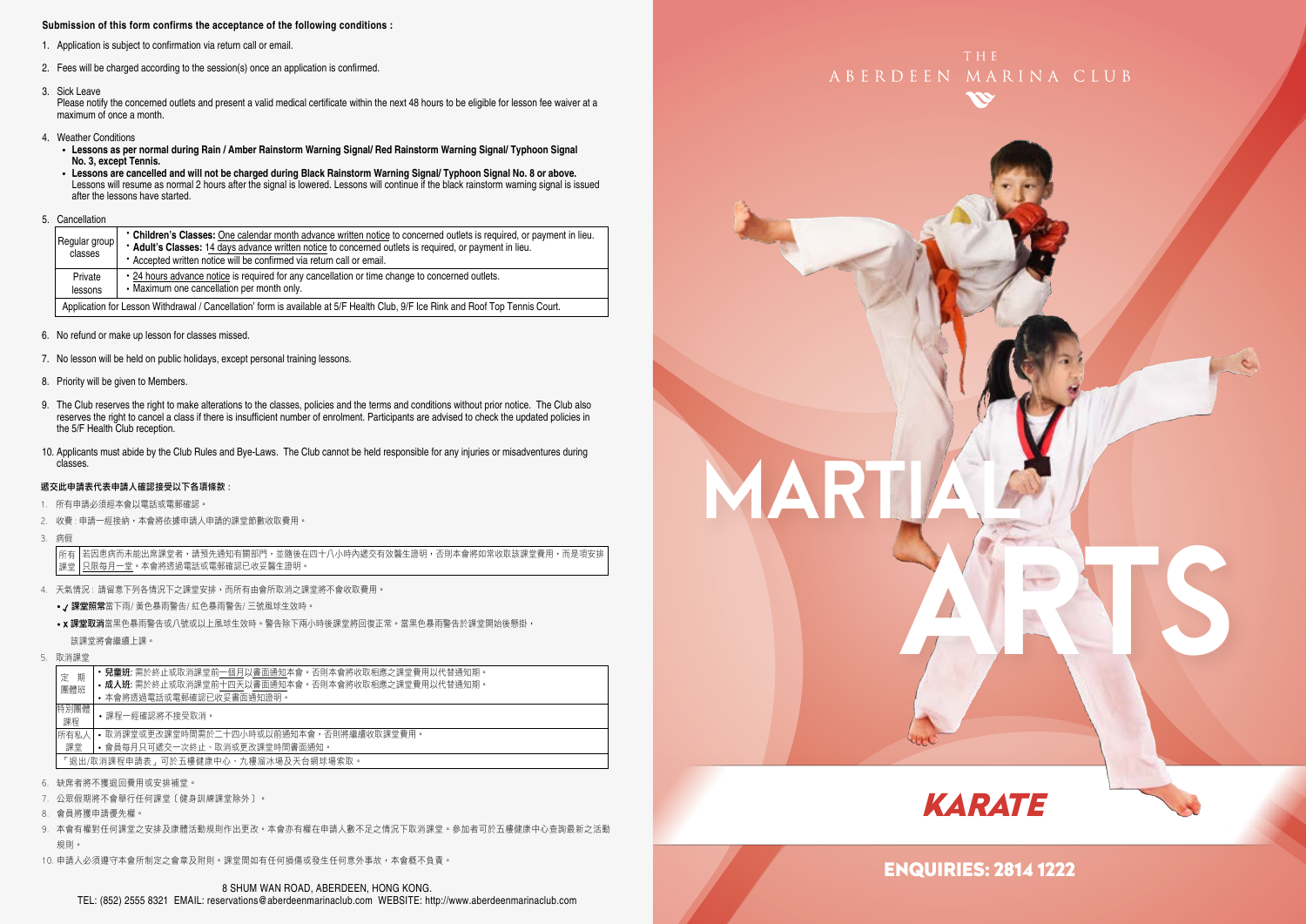#### **Submission of this form confirms the acceptance of the following conditions :**

- 1. Application is subject to confirmation via return call or email.
- 2. Fees will be charged according to the session(s) once an application is confirmed.
- 3. Sick Leave

Please notify the concerned outlets and present a valid medical certificate within the next 48 hours to be eligible for lesson fee waiver at a maximum of once a month.

- 4. Weather Conditions
	- **Lessons as per normal during Rain / Amber Rainstorm Warning Signal/ Red Rainstorm Warning Signal/ Typhoon Signal No. 3, except Tennis.**
	- **Lessons are cancelled and will not be charged during Black Rainstorm Warning Signal/ Typhoon Signal No. 8 or above.** Lessons will resume as normal 2 hours after the signal is lowered. Lessons will continue if the black rainstorm warning signal is issued after the lessons have started.
- 5. Cancellation

| Regular group<br>classes                                                                                                        | • Children's Classes: One calendar month advance written notice to concerned outlets is required, or payment in lieu.<br>* Adult's Classes: 14 days advance written notice to concerned outlets is required, or payment in lieu.<br>* Accepted written notice will be confirmed via return call or email. |                                                                                                                                               |  |  |  |  |
|---------------------------------------------------------------------------------------------------------------------------------|-----------------------------------------------------------------------------------------------------------------------------------------------------------------------------------------------------------------------------------------------------------------------------------------------------------|-----------------------------------------------------------------------------------------------------------------------------------------------|--|--|--|--|
|                                                                                                                                 | Private<br>lessons                                                                                                                                                                                                                                                                                        | • 24 hours advance notice is required for any cancellation or time change to concerned outlets.<br>• Maximum one cancellation per month only. |  |  |  |  |
| Application for Lesson Withdrawal / Cancellation' form is available at 5/F Health Club, 9/F Ice Rink and Roof Top Tennis Court. |                                                                                                                                                                                                                                                                                                           |                                                                                                                                               |  |  |  |  |

- 6. No refund or make up lesson for classes missed.
- 7. No lesson will be held on public holidays, except personal training lessons.
- 8. Priority will be given to Members.
- 9. The Club reserves the right to make alterations to the classes, policies and the terms and conditions without prior notice. The Club also reserves the right to cancel a class if there is insufficient number of enrolment. Participants are advised to check the updated policies in the 5/F Health Club reception.
- 10. Applicants must abide by the Club Rules and Bye-Laws. The Club cannot be held responsible for any injuries or misadventures during classes.

#### 遞交此申請表代表申請人確認接受以下各項條款 :

- 1. 所有申請必須經本會以電話或電郵確認。
- 2. 收費 : 申請一經接納,本會將依據申請人申請的課堂節數收取費用。
- 3. 病假

若因患病而未能出席課堂者,請預先通知有關部門,並隨後在四十八小時內遞交有效醫生證明,否則本會將如常收取該課堂費用,而是項安排 只限每月一堂。本會將透過電話或電郵確認已收妥醫生證明。 所有 課堂

- 4. 天氣情況 : 請留意下列各情況下之課堂安排,而所有由會所取消之課堂將不會收取費用。
	- / 課堂照常當下雨/ 黃色暴雨警告/ 紅色暴雨警告/ 三號風球生效時。
	- x 課堂取消當黑色暴雨警告或八號或以上風球生效時。警告除下兩小時後課堂將回復正常。當黑色暴雨警告於課堂開始後懸掛, 該課堂將會繼續上課。
- 5. 取消課堂

| 定                                   | 期<br>團體班                                                                                | <b>兒童班:</b> 需於終止或取消課堂前一個月以書面通知本會。否則本會將收取相應之課堂費用以代替通知期。<br>• 成人班: 需於終止或取消課堂前十四天以書面通知本會。否則本會將收取相應之課堂費用以代替通知期。<br>• 本會將诱過電話或電郵確認已收妥書面通知證明。 |  |  |  |
|-------------------------------------|-----------------------------------------------------------------------------------------|-----------------------------------------------------------------------------------------------------------------------------------------|--|--|--|
| 特別團體<br>課程                          |                                                                                         | •課程一經確認將不接受取消。                                                                                                                          |  |  |  |
|                                     | 所有私人<br>• 取消課堂或更改課堂時間需於二十四小時或以前通知本會,否則將繼續收取課堂費用。<br>• 會員每月只可遞交一次終止、取消或更改課堂時間書面通知。<br>課堂 |                                                                                                                                         |  |  |  |
| 「退出/取消課程申請表」可於五樓健康中心、九樓溜冰場及天台網球場索取。 |                                                                                         |                                                                                                                                         |  |  |  |

- 6. 缺席者將不獲退回費用或安排補堂。
- 7. 公眾假期將不會舉行任何課堂﹝健身訓練課堂除外﹞。
- 8. 會員將獲申請優先權。
- 9. 本會有權對任何課堂之安排及康體活動規則作出更改。本會亦有權在申請人數不足之情況下取消課堂。參加者可於五樓健康中心查詢最新之活動 規則。
- 10. 申請人必須遵守本會所制定之會章及附則。課堂間如有任何損傷或發生任何意外事故,本會概不負責。







# ENQUIRIES: 2814 1222